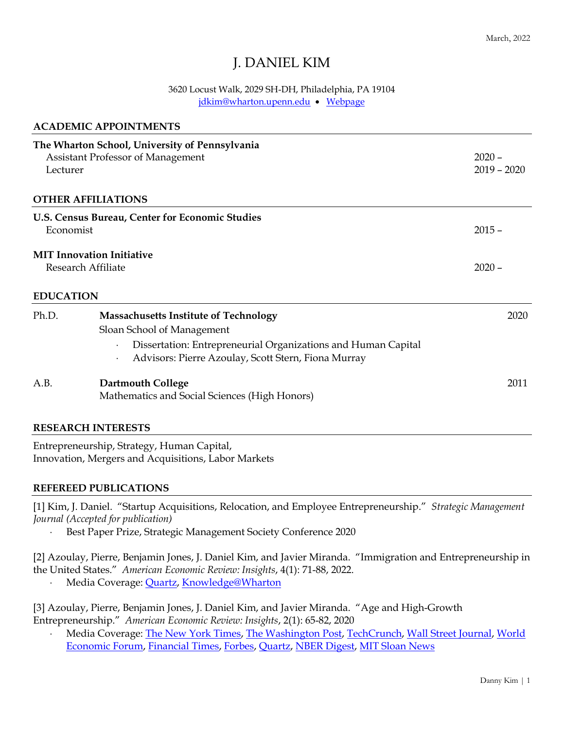# J. DANIEL KIM

### 3620 Locust Walk, 2029 SH-DH, Philadelphia, PA 19104 [jdkim@wharton.upenn.edu](mailto:jdkim@wharton.upenn.edu) • [Webpage](https://mgmt.wharton.upenn.edu/profile/jdkim/)

|                  | <b>ACADEMIC APPOINTMENTS</b>                                                                                                                                                                       |                           |
|------------------|----------------------------------------------------------------------------------------------------------------------------------------------------------------------------------------------------|---------------------------|
| Lecturer         | The Wharton School, University of Pennsylvania<br>Assistant Professor of Management                                                                                                                | $2020 -$<br>$2019 - 2020$ |
|                  | <b>OTHER AFFILIATIONS</b>                                                                                                                                                                          |                           |
| Economist        | U.S. Census Bureau, Center for Economic Studies                                                                                                                                                    | $2015 -$                  |
|                  | <b>MIT Innovation Initiative</b><br><b>Research Affiliate</b>                                                                                                                                      |                           |
| <b>EDUCATION</b> |                                                                                                                                                                                                    |                           |
| Ph.D.            | <b>Massachusetts Institute of Technology</b><br>Sloan School of Management<br>Dissertation: Entrepreneurial Organizations and Human Capital<br>Advisors: Pierre Azoulay, Scott Stern, Fiona Murray | 2020                      |
| A.B.             | <b>Dartmouth College</b><br>Mathematics and Social Sciences (High Honors)                                                                                                                          | 2011                      |
|                  | DECE A DOIT INTERPORC                                                                                                                                                                              |                           |

#### **RESEARCH INTERESTS**

Entrepreneurship, Strategy, Human Capital, Innovation, Mergers and Acquisitions, Labor Markets

#### **REFEREED PUBLICATIONS**

[1] Kim, J. Daniel. "Startup Acquisitions, Relocation, and Employee Entrepreneurship." *Strategic Management Journal (Accepted for publication)*

Best Paper Prize, Strategic Management Society Conference 2020

[2] Azoulay, Pierre, Benjamin Jones, J. Daniel Kim, and Javier Miranda. "Immigration and Entrepreneurship in the United States." *American Economic Review: Insights*, 4(1): 71-88, 2022.

Media Coverage: [Quartz,](https://qz.com/india/1897598/more-immigrants-in-trumps-us-are-job-creators-than-job-takers/) [Knowledge@Wharton](https://knowledge.wharton.upenn.edu/article/how-immigrants-expand-the-u-s-economy/)

[3] Azoulay, Pierre, Benjamin Jones, J. Daniel Kim, and Javier Miranda. "Age and High-Growth Entrepreneurship." *American Economic Review: Insights*, 2(1): 65-82, 2020

 Media Coverage: [The New York Times,](file://///Users/jdkim/Dropbox%20(Penn)/documents/cv/%255bDanny%255d%20%255b2:13%20PM%255d%20https:/www.nytimes.com/2019/08/29/business/tech-start-up-founders-nest.html) [The Washington Post,](https://www.washingtonpost.com/news/on-small-business/wp/2018/04/24/sorry-millennials-the-average-age-of-a-successful-entrepreneur-is-a-lot-older-than-you-think/?noredirect=on&utm_term=.b6518be423f8) [TechCrunch,](https://techcrunch.com/2018/04/10/new-research-shows-successful-founders-are-far-older-than-the-valley-stereotype/) [Wall Street Journal,](https://blogs.wsj.com/cio/2018/08/31/silicon-valley-myths-aside-time-is-on-the-side-of-aging-entrepreneurs/) [World](https://www.weforum.org/agenda/2018/06/why-middle-aged-entrepreneurs-are-better-than-young-ones)  [Economic Forum,](https://www.weforum.org/agenda/2018/06/why-middle-aged-entrepreneurs-are-better-than-young-ones) [Financial Times,](https://www.ft.com/content/94719a68-9cb6-11e8-88de-49c908b1f264) [Forbes,](https://www.forbes.com/sites/markhall/2018/10/16/age-of-successful-founders/#761cb3e31b87) [Quartz,](https://qz.com/work/1260465/the-most-successful-startups-have-founders-over-the-age-of-40/) [NBER Digest,](https://www.nber.org/digest/jul18/w24489.shtml) [MIT Sloan News](https://mitsloan.mit.edu/ideas-made-to-matter/20-year-old-entrepreneur-lie)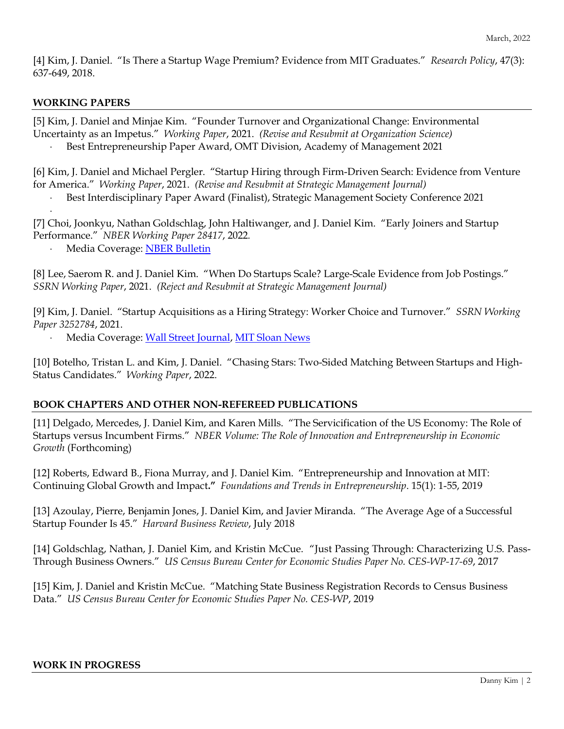[4] Kim, J. Daniel. "Is There a Startup Wage Premium? Evidence from MIT Graduates." *Research Policy*, 47(3): 637-649, 2018.

### **WORKING PAPERS**

.

[5] Kim, J. Daniel and Minjae Kim. "Founder Turnover and Organizational Change: Environmental Uncertainty as an Impetus." *Working Paper*, 2021. *(Revise and Resubmit at Organization Science)* Best Entrepreneurship Paper Award, OMT Division, Academy of Management 2021

[6] Kim, J. Daniel and Michael Pergler. "Startup Hiring through Firm-Driven Search: Evidence from Venture for America." *Working Paper*, 2021. *(Revise and Resubmit at Strategic Management Journal)*

Best Interdisciplinary Paper Award (Finalist), Strategic Management Society Conference 2021

[7] Choi, Joonkyu, Nathan Goldschlag, John Haltiwanger, and J. Daniel Kim. "Early Joiners and Startup Performance." *NBER Working Paper 28417*, 2022*.*

Media Coverage: [NBER Bulletin](https://www.nber.org/be-20212/assessing-importance-key-personnel-startup-firms)

[8] Lee, Saerom R. and J. Daniel Kim. "When Do Startups Scale? Large-Scale Evidence from Job Postings." *SSRN Working Paper*, 2021. *(Reject and Resubmit at Strategic Management Journal)*

[9] Kim, J. Daniel. "Startup Acquisitions as a Hiring Strategy: Worker Choice and Turnover." *SSRN Working Paper 3252784*, 2021.

Media Coverage: [Wall Street Journal,](https://www.wsj.com/articles/every-company-is-now-a-tech-company-1543901207) [MIT Sloan News](http://mitsloan.mit.edu/ideas-made-to-matter/your-acquired-hires-are-leaving-heres-why)

[10] Botelho, Tristan L. and Kim, J. Daniel. "Chasing Stars: Two-Sided Matching Between Startups and High-Status Candidates." *Working Paper*, 2022.

### **BOOK CHAPTERS AND OTHER NON-REFEREED PUBLICATIONS**

[11] Delgado, Mercedes, J. Daniel Kim, and Karen Mills. "The Servicification of the US Economy: The Role of Startups versus Incumbent Firms." *NBER Volume: The Role of Innovation and Entrepreneurship in Economic Growth* (Forthcoming)

[12] Roberts, Edward B., Fiona Murray, and J. Daniel Kim. "Entrepreneurship and Innovation at MIT: Continuing Global Growth and Impact**."** *Foundations and Trends in Entrepreneurship*. 15(1): 1-55, 2019

[13] Azoulay, Pierre, Benjamin Jones, J. Daniel Kim, and Javier Miranda. "The Average Age of a Successful Startup Founder Is 45." *Harvard Business Review*, July 2018

[14] Goldschlag, Nathan, J. Daniel Kim, and Kristin McCue. "Just Passing Through: Characterizing U.S. Pass-Through Business Owners." *US Census Bureau Center for Economic Studies Paper No. CES-WP-17-69*, 2017

[15] Kim, J. Daniel and Kristin McCue. "Matching State Business Registration Records to Census Business Data." *US Census Bureau Center for Economic Studies Paper No. CES-WP*, 2019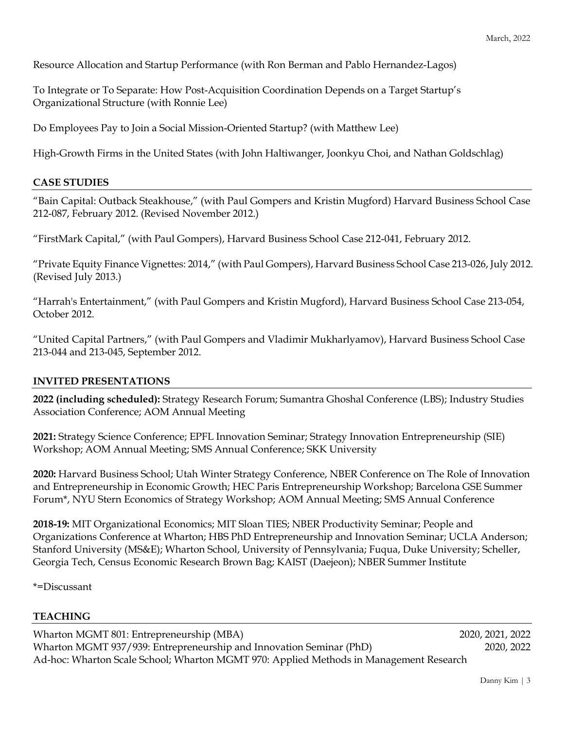Resource Allocation and Startup Performance (with Ron Berman and Pablo Hernandez-Lagos)

To Integrate or To Separate: How Post-Acquisition Coordination Depends on a Target Startup's Organizational Structure (with Ronnie Lee)

Do Employees Pay to Join a Social Mission-Oriented Startup? (with Matthew Lee)

High-Growth Firms in the United States (with John Haltiwanger, Joonkyu Choi, and Nathan Goldschlag)

# **CASE STUDIES**

"Bain Capital: Outback Steakhouse," (with Paul Gompers and Kristin Mugford) Harvard Business School Case 212-087, February 2012. (Revised November 2012.)

"FirstMark Capital," (with Paul Gompers), Harvard Business School Case 212-041, February 2012.

"Private Equity Finance Vignettes: 2014," (with Paul Gompers), Harvard Business School Case 213-026, July 2012. (Revised July 2013.)

"Harrah's Entertainment," (with Paul Gompers and Kristin Mugford), Harvard Business School Case 213-054, October 2012.

"United Capital Partners," (with Paul Gompers and Vladimir Mukharlyamov), Harvard Business School Case 213-044 and 213-045, September 2012.

# **INVITED PRESENTATIONS**

**2022 (including scheduled):** Strategy Research Forum; Sumantra Ghoshal Conference (LBS); Industry Studies Association Conference; AOM Annual Meeting

**2021:** Strategy Science Conference; EPFL Innovation Seminar; Strategy Innovation Entrepreneurship (SIE) Workshop; AOM Annual Meeting; SMS Annual Conference; SKK University

**2020:** Harvard Business School; Utah Winter Strategy Conference, NBER Conference on The Role of Innovation and Entrepreneurship in Economic Growth; HEC Paris Entrepreneurship Workshop; Barcelona GSE Summer Forum\*, NYU Stern Economics of Strategy Workshop; AOM Annual Meeting; SMS Annual Conference

**2018-19:** MIT Organizational Economics; MIT Sloan TIES; NBER Productivity Seminar; People and Organizations Conference at Wharton; HBS PhD Entrepreneurship and Innovation Seminar; UCLA Anderson; Stanford University (MS&E); Wharton School, University of Pennsylvania; Fuqua, Duke University; Scheller, Georgia Tech, Census Economic Research Brown Bag; KAIST (Daejeon); NBER Summer Institute

\*=Discussant

# **TEACHING**

Wharton MGMT 801: Entrepreneurship (MBA) 2020, 2021, 2022 Wharton MGMT 937/939: Entrepreneurship and Innovation Seminar (PhD) 2020, 2022 Ad-hoc: Wharton Scale School; Wharton MGMT 970: Applied Methods in Management Research